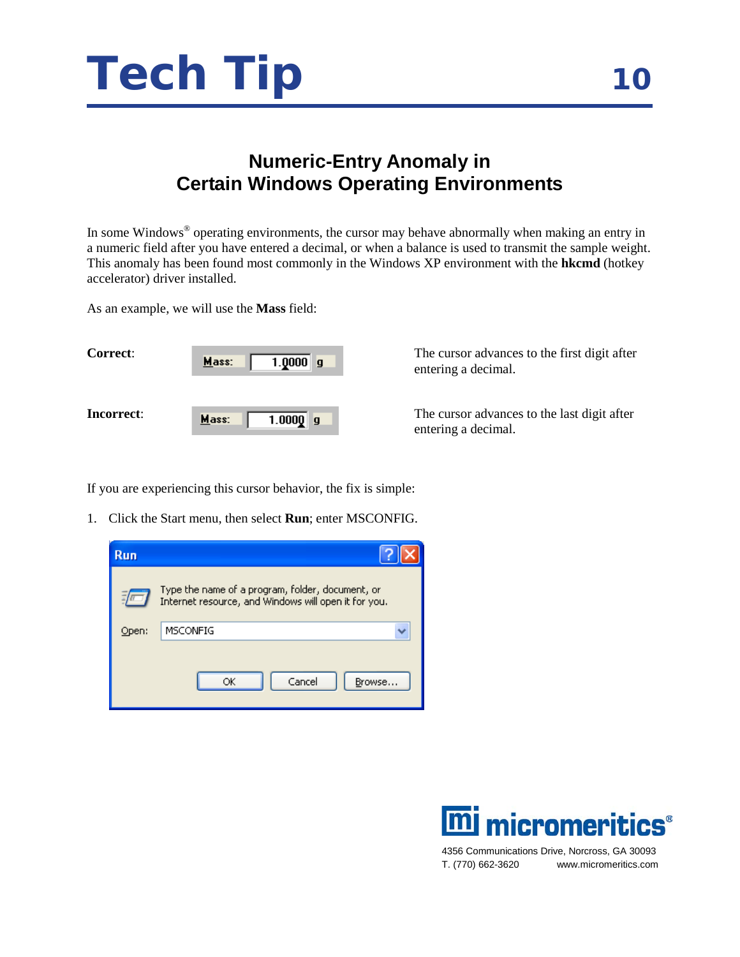

## **Numeric-Entry Anomaly in Certain Windows Operating Environments**

In some Windows® operating environments, the cursor may behave abnormally when making an entry in a numeric field after you have entered a decimal, or when a balance is used to transmit the sample weight. This anomaly has been found most commonly in the Windows XP environment with the **hkcmd** (hotkey accelerator) driver installed.

As an example, we will use the **Mass** field:

| <b>Correct:</b> | Mass: | 1.000099   |  |
|-----------------|-------|------------|--|
| Incorrect:      | Mass: | $1.0000$ g |  |

The cursor advances to the first digit after entering a decimal.

The cursor advances to the last digit after entering a decimal.

If you are experiencing this cursor behavior, the fix is simple:

1. Click the Start menu, then select **Run**; enter MSCONFIG.

| <b>Run</b> |                                                                                                          |
|------------|----------------------------------------------------------------------------------------------------------|
|            | Type the name of a program, folder, document, or<br>Internet resource, and Windows will open it for you. |
| Open:      | <b>MSCONFIG</b>                                                                                          |
|            | Cancel<br>Browse<br>OК                                                                                   |



4356 Communications Drive, Norcross, GA 30093 T. (770) 662-3620 www.micromeritics.com